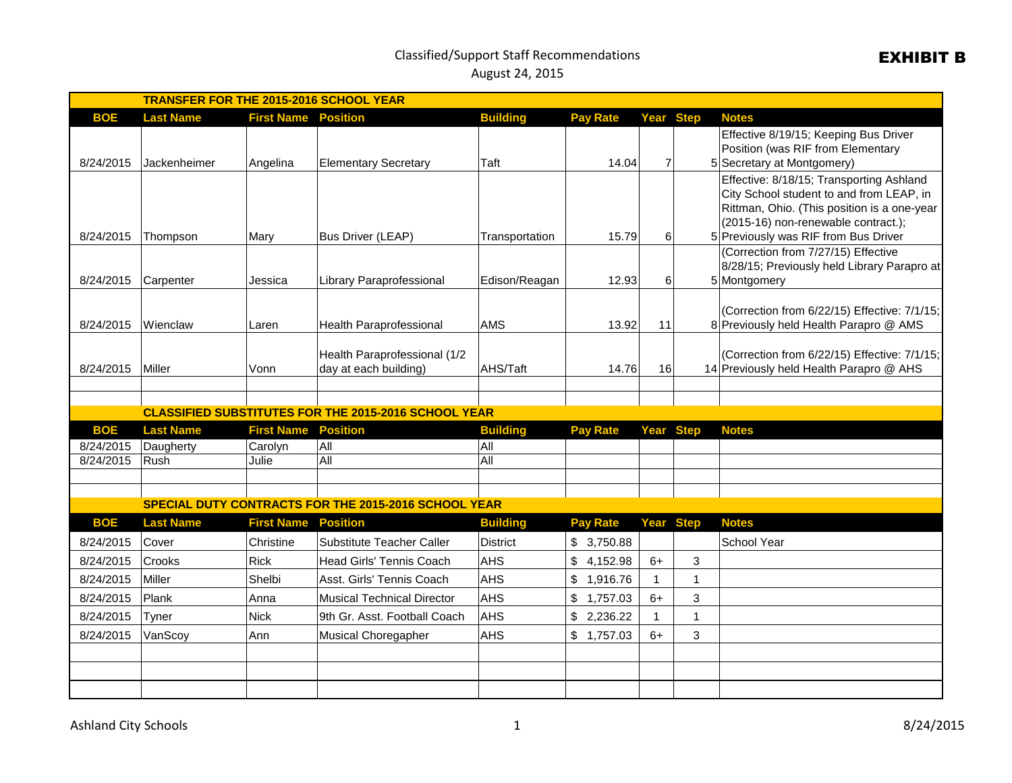## Classified/Support Staff Recommendations August 24, 2015

| <b>TRANSFER FOR THE 2015-2016 SCHOOL YEAR</b> |                               |                              |                                                             |                 |                 |                  |              |                                                                                      |  |  |
|-----------------------------------------------|-------------------------------|------------------------------|-------------------------------------------------------------|-----------------|-----------------|------------------|--------------|--------------------------------------------------------------------------------------|--|--|
| <b>BOE</b>                                    | <b>Last Name</b>              | <b>First Name</b>            | <b>Position</b>                                             | <b>Building</b> | <b>Pay Rate</b> | Year Step        |              | <b>Notes</b>                                                                         |  |  |
|                                               |                               |                              |                                                             |                 |                 |                  |              | Effective 8/19/15; Keeping Bus Driver                                                |  |  |
|                                               |                               |                              |                                                             |                 |                 |                  |              | Position (was RIF from Elementary                                                    |  |  |
| 8/24/2015                                     | Jackenheimer                  | Angelina                     | <b>Elementary Secretary</b>                                 | Taft            | 14.04           | $\overline{7}$   |              | 5 Secretary at Montgomery)                                                           |  |  |
|                                               |                               |                              |                                                             |                 |                 |                  |              | Effective: 8/18/15; Transporting Ashland<br>City School student to and from LEAP, in |  |  |
|                                               |                               |                              |                                                             |                 |                 |                  |              | Rittman, Ohio. (This position is a one-year                                          |  |  |
|                                               |                               |                              |                                                             |                 |                 |                  |              | (2015-16) non-renewable contract.);                                                  |  |  |
| 8/24/2015                                     | Thompson                      | Mary                         | <b>Bus Driver (LEAP)</b>                                    | Transportation  | 15.79           | 6                |              | 5 Previously was RIF from Bus Driver                                                 |  |  |
|                                               |                               |                              |                                                             |                 |                 |                  |              | (Correction from 7/27/15) Effective                                                  |  |  |
|                                               |                               |                              |                                                             |                 |                 |                  |              | 8/28/15; Previously held Library Parapro at                                          |  |  |
| 8/24/2015                                     | Carpenter                     | Jessica                      | Library Paraprofessional                                    | Edison/Reagan   | 12.93           | 6                |              | 5 Montgomery                                                                         |  |  |
|                                               |                               |                              |                                                             |                 |                 |                  |              | (Correction from 6/22/15) Effective: 7/1/15;                                         |  |  |
| 8/24/2015                                     | lWienclaw                     | Laren                        | Health Paraprofessional                                     | AMS             | 13.92           | 11               |              | 8 Previously held Health Parapro @ AMS                                               |  |  |
|                                               |                               |                              |                                                             |                 |                 |                  |              |                                                                                      |  |  |
|                                               |                               |                              | Health Paraprofessional (1/2                                |                 |                 |                  |              | (Correction from 6/22/15) Effective: 7/1/15;                                         |  |  |
| 8/24/2015                                     | Miller                        | Vonn                         | day at each building)                                       | AHS/Taft        | 14.76           | 16               |              | 14 Previously held Health Parapro @ AHS                                              |  |  |
|                                               |                               |                              |                                                             |                 |                 |                  |              |                                                                                      |  |  |
|                                               |                               |                              | <b>CLASSIFIED SUBSTITUTES FOR THE 2015-2016 SCHOOL YEAR</b> |                 |                 |                  |              |                                                                                      |  |  |
| <b>BOE</b>                                    |                               |                              | <b>Position</b>                                             | <b>Building</b> |                 |                  |              |                                                                                      |  |  |
| 8/24/2015                                     | <b>Last Name</b><br>Daugherty | <b>First Name</b><br>Carolyn | All                                                         | lA⊪             | <b>Pay Rate</b> | <b>Year Step</b> |              | <b>Notes</b>                                                                         |  |  |
| 8/24/2015                                     | Rush                          | Julie                        | All                                                         | All             |                 |                  |              |                                                                                      |  |  |
|                                               |                               |                              |                                                             |                 |                 |                  |              |                                                                                      |  |  |
|                                               |                               |                              |                                                             |                 |                 |                  |              |                                                                                      |  |  |
|                                               |                               |                              | SPECIAL DUTY CONTRACTS FOR THE 2015-2016 SCHOOL YEAR        |                 |                 |                  |              |                                                                                      |  |  |
| <b>BOE</b>                                    | <b>Last Name</b>              | <b>First Name</b>            | <b>Position</b>                                             | <b>Building</b> | <b>Pay Rate</b> | <b>Year Step</b> |              | <b>Notes</b>                                                                         |  |  |
| 8/24/2015                                     | Cover                         | Christine                    | Substitute Teacher Caller                                   | <b>District</b> | \$3,750.88      |                  |              | School Year                                                                          |  |  |
| 8/24/2015                                     | <b>Crooks</b>                 | <b>Rick</b>                  | Head Girls' Tennis Coach                                    | <b>AHS</b>      | \$4,152.98      | $6+$             | 3            |                                                                                      |  |  |
| 8/24/2015                                     | Miller                        | Shelbi                       | Asst. Girls' Tennis Coach                                   | <b>AHS</b>      | \$1,916.76      |                  | $\mathbf 1$  |                                                                                      |  |  |
| 8/24/2015                                     | Plank                         | Anna                         | Musical Technical Director                                  | <b>AHS</b>      | \$1,757.03      | $6+$             | 3            |                                                                                      |  |  |
| 8/24/2015                                     | Tyner                         | <b>Nick</b>                  | 9th Gr. Asst. Football Coach                                | <b>AHS</b>      | \$2,236.22      | 1                | $\mathbf{1}$ |                                                                                      |  |  |
| 8/24/2015                                     | VanScoy                       | Ann                          | Musical Choregapher                                         | <b>AHS</b>      | \$1,757.03      | $6+$             | 3            |                                                                                      |  |  |
|                                               |                               |                              |                                                             |                 |                 |                  |              |                                                                                      |  |  |
|                                               |                               |                              |                                                             |                 |                 |                  |              |                                                                                      |  |  |
|                                               |                               |                              |                                                             |                 |                 |                  |              |                                                                                      |  |  |